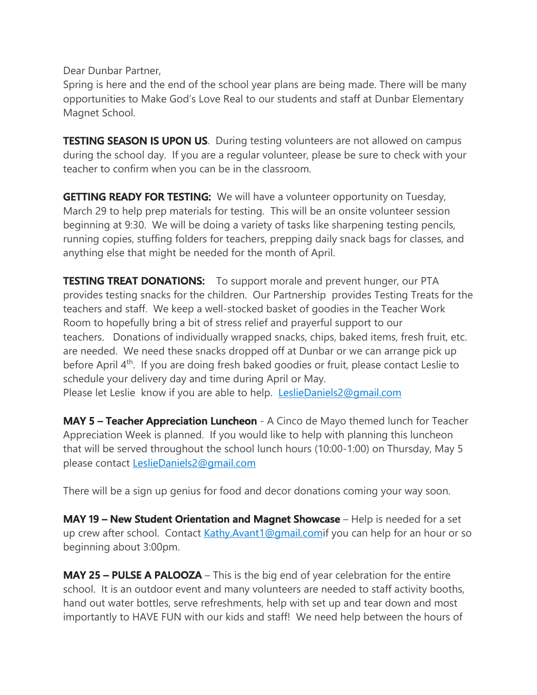Dear Dunbar Partner,

Spring is here and the end of the school year plans are being made. There will be many opportunities to Make God's Love Real to our students and staff at Dunbar Elementary Magnet School.

**TESTING SEASON IS UPON US.** During testing volunteers are not allowed on campus during the school day. If you are a regular volunteer, please be sure to check with your teacher to confirm when you can be in the classroom.

**GETTING READY FOR TESTING:** We will have a volunteer opportunity on Tuesday, March 29 to help prep materials for testing. This will be an onsite volunteer session beginning at 9:30. We will be doing a variety of tasks like sharpening testing pencils, running copies, stuffing folders for teachers, prepping daily snack bags for classes, and anything else that might be needed for the month of April.

**TESTING TREAT DONATIONS:** To support morale and prevent hunger, our PTA provides testing snacks for the children. Our Partnership provides Testing Treats for the teachers and staff. We keep a well-stocked basket of goodies in the Teacher Work Room to hopefully bring a bit of stress relief and prayerful support to our teachers. Donations of individually wrapped snacks, chips, baked items, fresh fruit, etc. are needed. We need these snacks dropped off at Dunbar or we can arrange pick up before April 4<sup>th</sup>. If you are doing fresh baked goodies or fruit, please contact Leslie to schedule your delivery day and time during April or May. Please let Leslie know if you are able to help. LeslieDaniels2@gmail.com

**MAY 5 – Teacher Appreciation Luncheon** - A Cinco de Mayo themed lunch for Teacher Appreciation Week is planned. If you would like to help with planning this luncheon that will be served throughout the school lunch hours (10:00-1:00) on Thursday, May 5 please contact LeslieDaniels2@gmail.com

There will be a sign up genius for food and decor donations coming your way soon.

**MAY 19 – New Student Orientation and Magnet Showcase** – Help is needed for a set up crew after school. Contact Kathy.Avant1@gmail.comif you can help for an hour or so beginning about 3:00pm.

**MAY 25 – PULSE A PALOOZA** – This is the big end of year celebration for the entire school. It is an outdoor event and many volunteers are needed to staff activity booths, hand out water bottles, serve refreshments, help with set up and tear down and most importantly to HAVE FUN with our kids and staff! We need help between the hours of